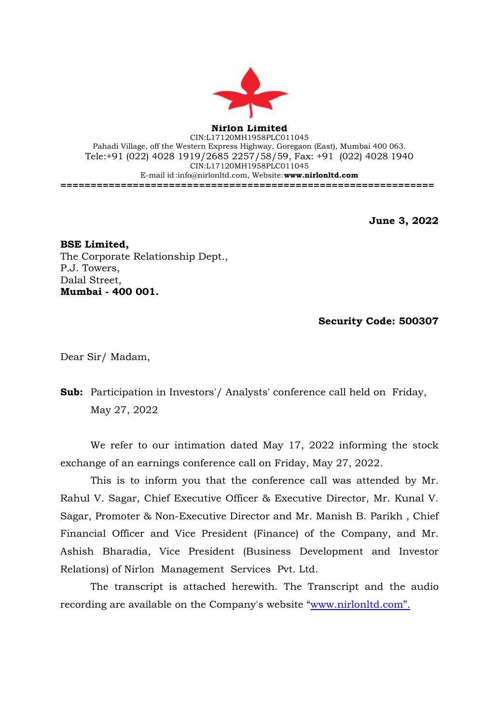

**Nirlon Limited** CIN:L17120MH1958PLC011045 Pahadi Village, off the Western Express Highway, Goregaon (East), Mumbai 400 063. Tele:+91 (022) 4028 1919/2685 2257/58/59, Fax: +91 (022) 4028 1940 CIN:L17120MH1958PLC011045 E-mail id[:info@nirlonltd.com,](mailto:info@nirlonltd.com) Website:**[www.nirlonltd.com](http://www.nirlonltd.com/) ==============================================================**

**June 3, 2022**

**BSE Limited,**  The Corporate Relationship Dept., P.J. Towers, Dalal Street, **Mumbai - 400 001.**

**Security Code: 500307** 

Dear Sir/ Madam,

**Sub:** Participation in Investors'/ Analysts' conference call held on Friday, May 27, 2022

We refer to our intimation dated May 17, 2022 informing the stock exchange of an earnings conference call on Friday, May 27, 2022.

This is to inform you that the conference call was attended by Mr. Rahul V. Sagar, Chief Executive Officer & Executive Director, Mr. Kunal V. Sagar, Promoter & Non-Executive Director and Mr. Manish B. Parikh , Chief Financial Officer and Vice President (Finance) of the Company, and Mr. Ashish Bharadia, Vice President (Business Development and Investor Relations) of Nirlon Management Services Pvt. Ltd.

The transcript is attached herewith. The Transcript and the audio recording are available on the Company's website ["www.nirlonltd.com".](http://www.nirlonltd.com%E2%80%9D./)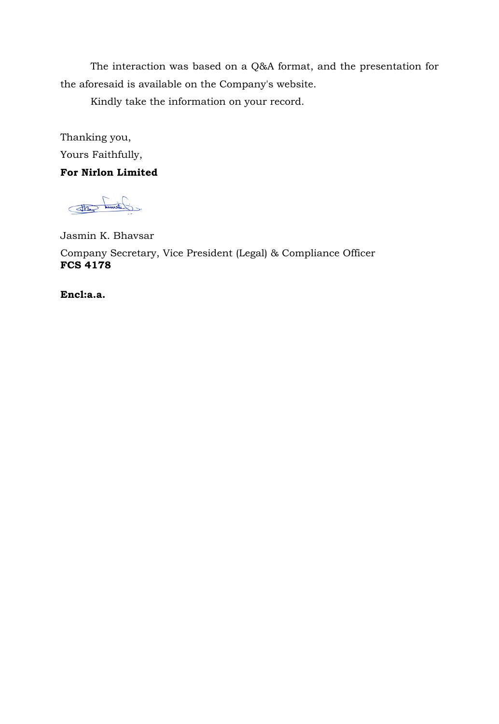The interaction was based on a Q&A format, and the presentation for the aforesaid is available on the Company's website.

Kindly take the information on your record.

Thanking you, Yours Faithfully,

## **For Nirlon Limited**

cidamn cato

Jasmin K. Bhavsar

Company Secretary, Vice President (Legal) & Compliance Officer **FCS 4178**

**Encl:a.a.**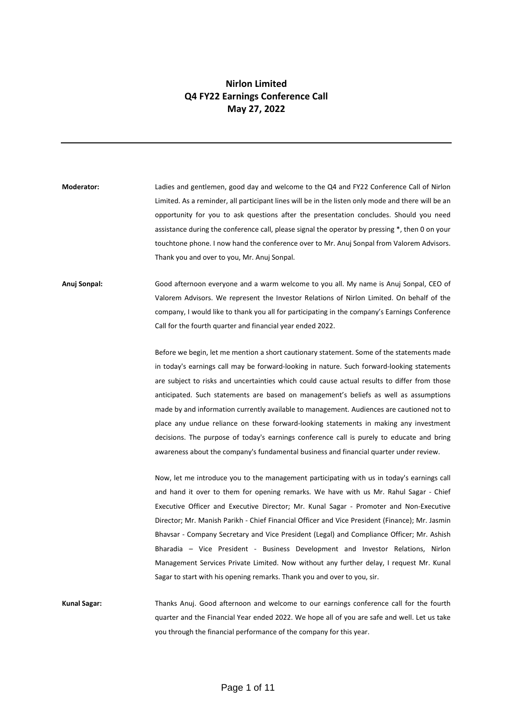## **Nirlon Limited Q4 FY22 Earnings Conference Call May 27, 2022**

**Moderator:** Ladies and gentlemen, good day and welcome to the Q4 and FY22 Conference Call of Nirlon Limited. As a reminder, all participant lines will be in the listen only mode and there will be an opportunity for you to ask questions after the presentation concludes. Should you need assistance during the conference call, please signal the operator by pressing \*, then 0 on your touchtone phone. I now hand the conference over to Mr. Anuj Sonpal from Valorem Advisors. Thank you and over to you, Mr. Anuj Sonpal.

**Anuj Sonpal:** Good afternoon everyone and a warm welcome to you all. My name is Anuj Sonpal, CEO of Valorem Advisors. We represent the Investor Relations of Nirlon Limited. On behalf of the company, I would like to thank you all for participating in the company's Earnings Conference Call for the fourth quarter and financial year ended 2022.

> Before we begin, let me mention a short cautionary statement. Some of the statements made in today's earnings call may be forward-looking in nature. Such forward-looking statements are subject to risks and uncertainties which could cause actual results to differ from those anticipated. Such statements are based on management's beliefs as well as assumptions made by and information currently available to management. Audiences are cautioned not to place any undue reliance on these forward-looking statements in making any investment decisions. The purpose of today's earnings conference call is purely to educate and bring awareness about the company's fundamental business and financial quarter under review.

> Now, let me introduce you to the management participating with us in today's earnings call and hand it over to them for opening remarks. We have with us Mr. Rahul Sagar - Chief Executive Officer and Executive Director; Mr. Kunal Sagar - Promoter and Non-Executive Director; Mr. Manish Parikh - Chief Financial Officer and Vice President (Finance); Mr. Jasmin Bhavsar - Company Secretary and Vice President (Legal) and Compliance Officer; Mr. Ashish Bharadia – Vice President - Business Development and Investor Relations, Nirlon Management Services Private Limited. Now without any further delay, I request Mr. Kunal Sagar to start with his opening remarks. Thank you and over to you, sir.

**Kunal Sagar:** Thanks Anuj. Good afternoon and welcome to our earnings conference call for the fourth quarter and the Financial Year ended 2022. We hope all of you are safe and well. Let us take you through the financial performance of the company for this year.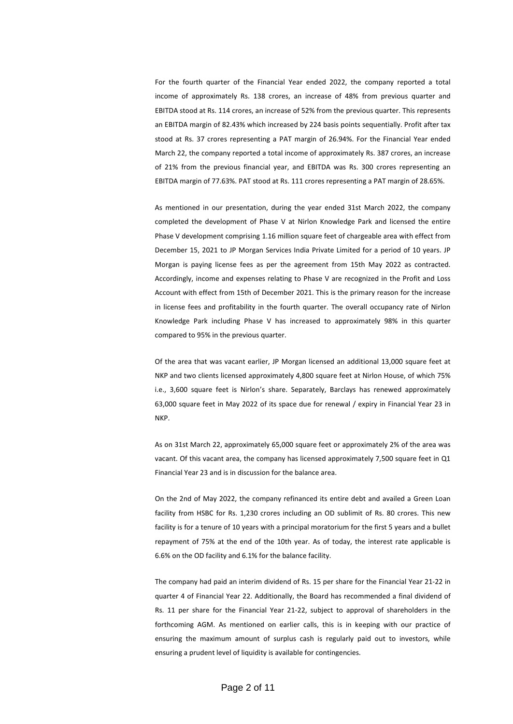For the fourth quarter of the Financial Year ended 2022, the company reported a total income of approximately Rs. 138 crores, an increase of 48% from previous quarter and EBITDA stood at Rs. 114 crores, an increase of 52% from the previous quarter. This represents an EBITDA margin of 82.43% which increased by 224 basis points sequentially. Profit after tax stood at Rs. 37 crores representing a PAT margin of 26.94%. For the Financial Year ended March 22, the company reported a total income of approximately Rs. 387 crores, an increase of 21% from the previous financial year, and EBITDA was Rs. 300 crores representing an EBITDA margin of 77.63%. PAT stood at Rs. 111 crores representing a PAT margin of 28.65%.

As mentioned in our presentation, during the year ended 31st March 2022, the company completed the development of Phase V at Nirlon Knowledge Park and licensed the entire Phase V development comprising 1.16 million square feet of chargeable area with effect from December 15, 2021 to JP Morgan Services India Private Limited for a period of 10 years. JP Morgan is paying license fees as per the agreement from 15th May 2022 as contracted. Accordingly, income and expenses relating to Phase V are recognized in the Profit and Loss Account with effect from 15th of December 2021. This is the primary reason for the increase in license fees and profitability in the fourth quarter. The overall occupancy rate of Nirlon Knowledge Park including Phase V has increased to approximately 98% in this quarter compared to 95% in the previous quarter.

Of the area that was vacant earlier, JP Morgan licensed an additional 13,000 square feet at NKP and two clients licensed approximately 4,800 square feet at Nirlon House, of which 75% i.e., 3,600 square feet is Nirlon's share. Separately, Barclays has renewed approximately 63,000 square feet in May 2022 of its space due for renewal / expiry in Financial Year 23 in NKP.

As on 31st March 22, approximately 65,000 square feet or approximately 2% of the area was vacant. Of this vacant area, the company has licensed approximately 7,500 square feet in Q1 Financial Year 23 and is in discussion for the balance area.

On the 2nd of May 2022, the company refinanced its entire debt and availed a Green Loan facility from HSBC for Rs. 1,230 crores including an OD sublimit of Rs. 80 crores. This new facility is for a tenure of 10 years with a principal moratorium for the first 5 years and a bullet repayment of 75% at the end of the 10th year. As of today, the interest rate applicable is 6.6% on the OD facility and 6.1% for the balance facility.

The company had paid an interim dividend of Rs. 15 per share for the Financial Year 21-22 in quarter 4 of Financial Year 22. Additionally, the Board has recommended a final dividend of Rs. 11 per share for the Financial Year 21-22, subject to approval of shareholders in the forthcoming AGM. As mentioned on earlier calls, this is in keeping with our practice of ensuring the maximum amount of surplus cash is regularly paid out to investors, while ensuring a prudent level of liquidity is available for contingencies.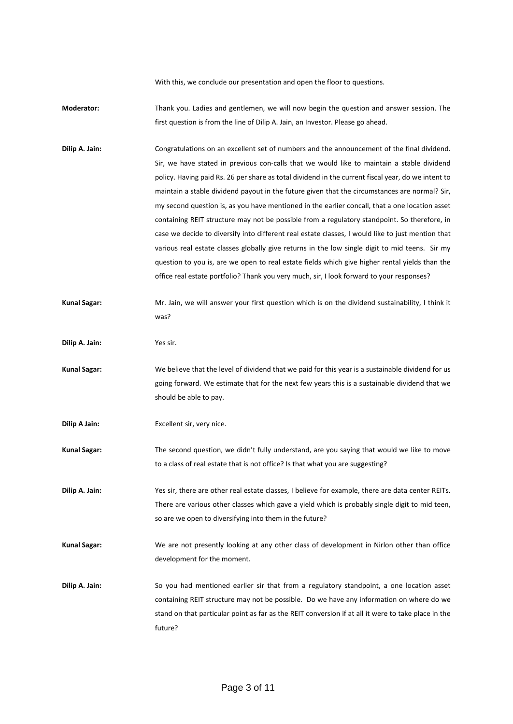With this, we conclude our presentation and open the floor to questions.

- **Moderator:** Thank you. Ladies and gentlemen, we will now begin the question and answer session. The first question is from the line of Dilip A. Jain, an Investor. Please go ahead.
- **Dilip A. Jain:** Congratulations on an excellent set of numbers and the announcement of the final dividend. Sir, we have stated in previous con-calls that we would like to maintain a stable dividend policy. Having paid Rs. 26 per share as total dividend in the current fiscal year, do we intent to maintain a stable dividend payout in the future given that the circumstances are normal? Sir, my second question is, as you have mentioned in the earlier concall, that a one location asset containing REIT structure may not be possible from a regulatory standpoint. So therefore, in case we decide to diversify into different real estate classes, I would like to just mention that various real estate classes globally give returns in the low single digit to mid teens. Sir my question to you is, are we open to real estate fields which give higher rental yields than the office real estate portfolio? Thank you very much, sir, I look forward to your responses?
- **Kunal Sagar:** Mr. Jain, we will answer your first question which is on the dividend sustainability, I think it was?
- **Dilip A. Jain:** Yes sir.
- **Kunal Sagar:** We believe that the level of dividend that we paid for this year is a sustainable dividend for us going forward. We estimate that for the next few years this is a sustainable dividend that we should be able to pay.
- **Dilip A Jain:** Excellent sir, very nice.
- **Kunal Sagar:** The second question, we didn't fully understand, are you saying that would we like to move to a class of real estate that is not office? Is that what you are suggesting?
- **Dilip A. Jain:** Yes sir, there are other real estate classes, I believe for example, there are data center REITs. There are various other classes which gave a yield which is probably single digit to mid teen, so are we open to diversifying into them in the future?
- **Kunal Sagar:** We are not presently looking at any other class of development in Nirlon other than office development for the moment.
- **Dilip A. Jain:** So you had mentioned earlier sir that from a regulatory standpoint, a one location asset containing REIT structure may not be possible. Do we have any information on where do we stand on that particular point as far as the REIT conversion if at all it were to take place in the future?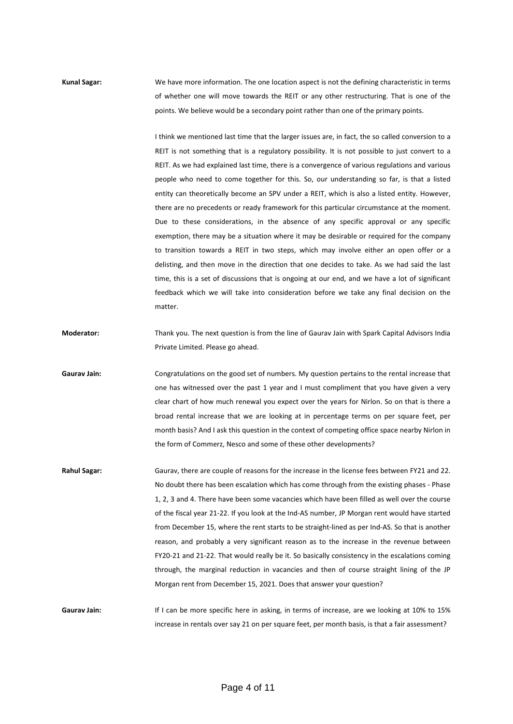**Kunal Sagar:** We have more information. The one location aspect is not the defining characteristic in terms of whether one will move towards the REIT or any other restructuring. That is one of the points. We believe would be a secondary point rather than one of the primary points.

> I think we mentioned last time that the larger issues are, in fact, the so called conversion to a REIT is not something that is a regulatory possibility. It is not possible to just convert to a REIT. As we had explained last time, there is a convergence of various regulations and various people who need to come together for this. So, our understanding so far, is that a listed entity can theoretically become an SPV under a REIT, which is also a listed entity. However, there are no precedents or ready framework for this particular circumstance at the moment. Due to these considerations, in the absence of any specific approval or any specific exemption, there may be a situation where it may be desirable or required for the company to transition towards a REIT in two steps, which may involve either an open offer or a delisting, and then move in the direction that one decides to take. As we had said the last time, this is a set of discussions that is ongoing at our end, and we have a lot of significant feedback which we will take into consideration before we take any final decision on the matter.

**Moderator:** Thank you. The next question is from the line of Gaurav Jain with Spark Capital Advisors India Private Limited. Please go ahead.

**Gaurav Jain:** Congratulations on the good set of numbers. My question pertains to the rental increase that one has witnessed over the past 1 year and I must compliment that you have given a very clear chart of how much renewal you expect over the years for Nirlon. So on that is there a broad rental increase that we are looking at in percentage terms on per square feet, per month basis? And I ask this question in the context of competing office space nearby Nirlon in the form of Commerz, Nesco and some of these other developments?

**Rahul Sagar:** Gaurav, there are couple of reasons for the increase in the license fees between FY21 and 22. No doubt there has been escalation which has come through from the existing phases - Phase 1, 2, 3 and 4. There have been some vacancies which have been filled as well over the course of the fiscal year 21-22. If you look at the Ind-AS number, JP Morgan rent would have started from December 15, where the rent starts to be straight-lined as per Ind-AS. So that is another reason, and probably a very significant reason as to the increase in the revenue between FY20-21 and 21-22. That would really be it. So basically consistency in the escalations coming through, the marginal reduction in vacancies and then of course straight lining of the JP Morgan rent from December 15, 2021. Does that answer your question?

Gaurav Jain: If I can be more specific here in asking, in terms of increase, are we looking at 10% to 15% increase in rentals over say 21 on per square feet, per month basis, is that a fair assessment?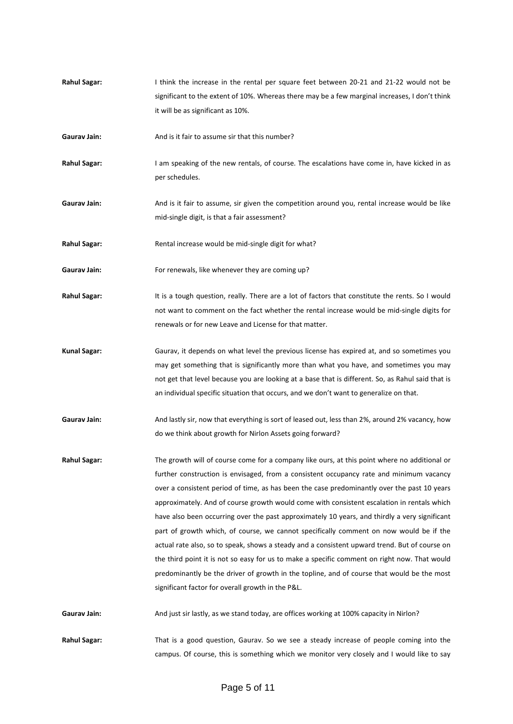- **Rahul Sagar:** I think the increase in the rental per square feet between 20-21 and 21-22 would not be significant to the extent of 10%. Whereas there may be a few marginal increases, I don't think it will be as significant as 10%.
- **Gaurav Jain:** And is it fair to assume sir that this number?
- **Rahul Sagar:** I am speaking of the new rentals, of course. The escalations have come in, have kicked in as per schedules.
- Gaurav Jain: And is it fair to assume, sir given the competition around you, rental increase would be like mid-single digit, is that a fair assessment?
- **Rahul Sagar:** Rental increase would be mid-single digit for what?
- Gaurav Jain: For renewals, like whenever they are coming up?
- Rahul Sagar: It is a tough question, really. There are a lot of factors that constitute the rents. So I would not want to comment on the fact whether the rental increase would be mid-single digits for renewals or for new Leave and License for that matter.
- **Kunal Sagar:** Gaurav, it depends on what level the previous license has expired at, and so sometimes you may get something that is significantly more than what you have, and sometimes you may not get that level because you are looking at a base that is different. So, as Rahul said that is an individual specific situation that occurs, and we don't want to generalize on that.
- Gaurav Jain: And lastly sir, now that everything is sort of leased out, less than 2%, around 2% vacancy, how do we think about growth for Nirlon Assets going forward?
- **Rahul Sagar:** The growth will of course come for a company like ours, at this point where no additional or further construction is envisaged, from a consistent occupancy rate and minimum vacancy over a consistent period of time, as has been the case predominantly over the past 10 years approximately. And of course growth would come with consistent escalation in rentals which have also been occurring over the past approximately 10 years, and thirdly a very significant part of growth which, of course, we cannot specifically comment on now would be if the actual rate also, so to speak, shows a steady and a consistent upward trend. But of course on the third point it is not so easy for us to make a specific comment on right now. That would predominantly be the driver of growth in the topline, and of course that would be the most significant factor for overall growth in the P&L.

**Gaurav Jain:** And just sir lastly, as we stand today, are offices working at 100% capacity in Nirlon?

**Rahul Sagar:** That is a good question, Gaurav. So we see a steady increase of people coming into the campus. Of course, this is something which we monitor very closely and I would like to say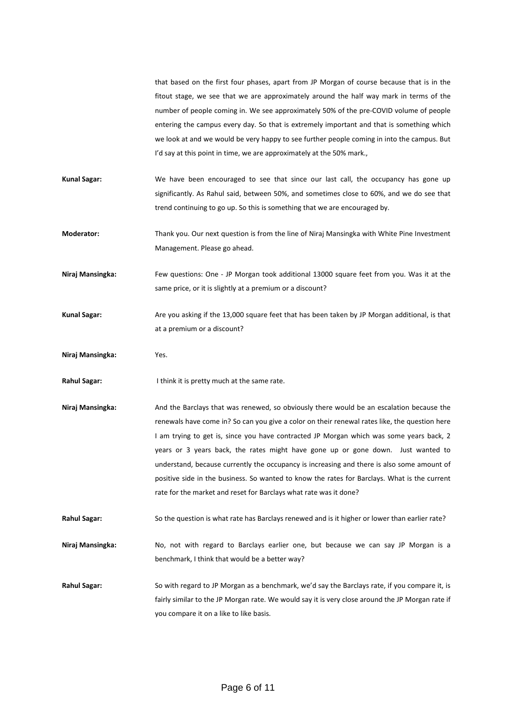that based on the first four phases, apart from JP Morgan of course because that is in the fitout stage, we see that we are approximately around the half way mark in terms of the number of people coming in. We see approximately 50% of the pre-COVID volume of people entering the campus every day. So that is extremely important and that is something which we look at and we would be very happy to see further people coming in into the campus. But I'd say at this point in time, we are approximately at the 50% mark.,

- **Kunal Sagar:** We have been encouraged to see that since our last call, the occupancy has gone up significantly. As Rahul said, between 50%, and sometimes close to 60%, and we do see that trend continuing to go up. So this is something that we are encouraged by.
- **Moderator:** Thank you. Our next question is from the line of Niraj Mansingka with White Pine Investment Management. Please go ahead.
- **Niraj Mansingka:** Few questions: One JP Morgan took additional 13000 square feet from you. Was it at the same price, or it is slightly at a premium or a discount?
- **Kunal Sagar:** Are you asking if the 13,000 square feet that has been taken by JP Morgan additional, is that at a premium or a discount?
- **Niraj Mansingka:** Yes.
- **Rahul Sagar:** I think it is pretty much at the same rate.
- **Niraj Mansingka:** And the Barclays that was renewed, so obviously there would be an escalation because the renewals have come in? So can you give a color on their renewal rates like, the question here I am trying to get is, since you have contracted JP Morgan which was some years back, 2 years or 3 years back, the rates might have gone up or gone down. Just wanted to understand, because currently the occupancy is increasing and there is also some amount of positive side in the business. So wanted to know the rates for Barclays. What is the current rate for the market and reset for Barclays what rate was it done?
- **Rahul Sagar:** So the question is what rate has Barclays renewed and is it higher or lower than earlier rate?
- Niraj Mansingka: No, not with regard to Barclays earlier one, but because we can say JP Morgan is a benchmark, I think that would be a better way?
- **Rahul Sagar:** So with regard to JP Morgan as a benchmark, we'd say the Barclays rate, if you compare it, is fairly similar to the JP Morgan rate. We would say it is very close around the JP Morgan rate if you compare it on a like to like basis.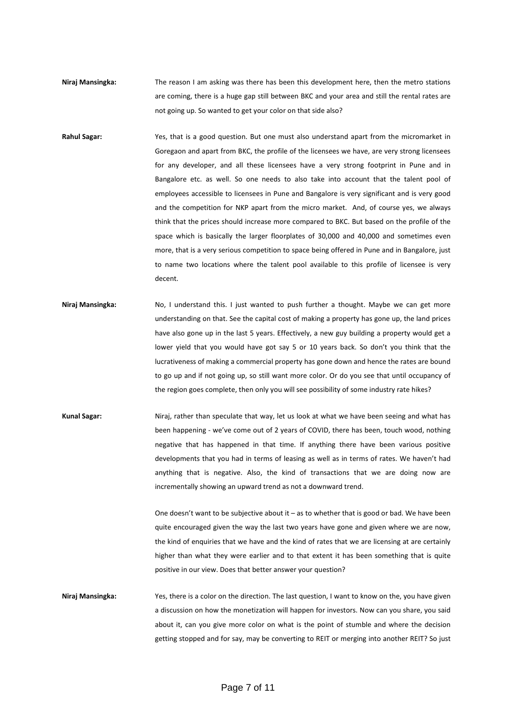- **Niraj Mansingka:** The reason I am asking was there has been this development here, then the metro stations are coming, there is a huge gap still between BKC and your area and still the rental rates are not going up. So wanted to get your color on that side also?
- **Rahul Sagar:** Yes, that is a good question. But one must also understand apart from the micromarket in Goregaon and apart from BKC, the profile of the licensees we have, are very strong licensees for any developer, and all these licensees have a very strong footprint in Pune and in Bangalore etc. as well. So one needs to also take into account that the talent pool of employees accessible to licensees in Pune and Bangalore is very significant and is very good and the competition for NKP apart from the micro market. And, of course yes, we always think that the prices should increase more compared to BKC. But based on the profile of the space which is basically the larger floorplates of 30,000 and 40,000 and sometimes even more, that is a very serious competition to space being offered in Pune and in Bangalore, just to name two locations where the talent pool available to this profile of licensee is very decent.
- Niraj Mansingka: No, I understand this. I just wanted to push further a thought. Maybe we can get more understanding on that. See the capital cost of making a property has gone up, the land prices have also gone up in the last 5 years. Effectively, a new guy building a property would get a lower yield that you would have got say 5 or 10 years back. So don't you think that the lucrativeness of making a commercial property has gone down and hence the rates are bound to go up and if not going up, so still want more color. Or do you see that until occupancy of the region goes complete, then only you will see possibility of some industry rate hikes?
- **Kunal Sagar:** Niraj, rather than speculate that way, let us look at what we have been seeing and what has been happening - we've come out of 2 years of COVID, there has been, touch wood, nothing negative that has happened in that time. If anything there have been various positive developments that you had in terms of leasing as well as in terms of rates. We haven't had anything that is negative. Also, the kind of transactions that we are doing now are incrementally showing an upward trend as not a downward trend.

One doesn't want to be subjective about it – as to whether that is good or bad. We have been quite encouraged given the way the last two years have gone and given where we are now, the kind of enquiries that we have and the kind of rates that we are licensing at are certainly higher than what they were earlier and to that extent it has been something that is quite positive in our view. Does that better answer your question?

**Niraj Mansingka:** Yes, there is a color on the direction. The last question, I want to know on the, you have given a discussion on how the monetization will happen for investors. Now can you share, you said about it, can you give more color on what is the point of stumble and where the decision getting stopped and for say, may be converting to REIT or merging into another REIT? So just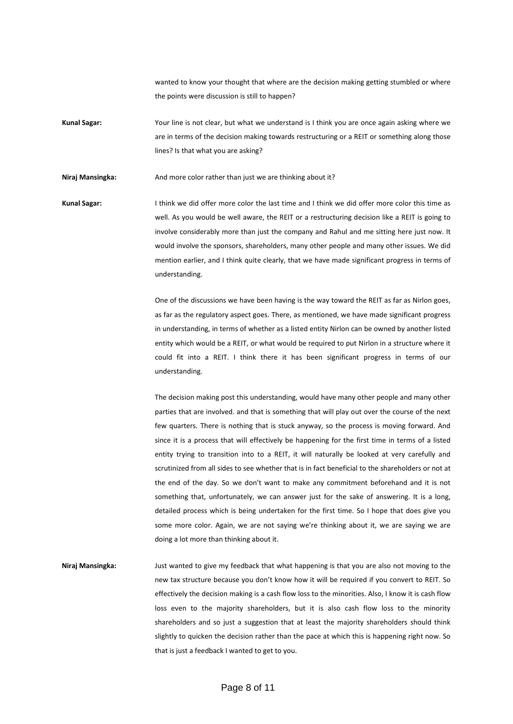wanted to know your thought that where are the decision making getting stumbled or where the points were discussion is still to happen?

**Kunal Sagar:** Your line is not clear, but what we understand is I think you are once again asking where we are in terms of the decision making towards restructuring or a REIT or something along those lines? Is that what you are asking?

Niraj Mansingka: And more color rather than just we are thinking about it?

**Kunal Sagar:** I think we did offer more color the last time and I think we did offer more color this time as well. As you would be well aware, the REIT or a restructuring decision like a REIT is going to involve considerably more than just the company and Rahul and me sitting here just now. It would involve the sponsors, shareholders, many other people and many other issues. We did mention earlier, and I think quite clearly, that we have made significant progress in terms of understanding.

> One of the discussions we have been having is the way toward the REIT as far as Nirlon goes, as far as the regulatory aspect goes. There, as mentioned, we have made significant progress in understanding, in terms of whether as a listed entity Nirlon can be owned by another listed entity which would be a REIT, or what would be required to put Nirlon in a structure where it could fit into a REIT. I think there it has been significant progress in terms of our understanding.

> The decision making post this understanding, would have many other people and many other parties that are involved. and that is something that will play out over the course of the next few quarters. There is nothing that is stuck anyway, so the process is moving forward. And since it is a process that will effectively be happening for the first time in terms of a listed entity trying to transition into to a REIT, it will naturally be looked at very carefully and scrutinized from all sides to see whether that is in fact beneficial to the shareholders or not at the end of the day. So we don't want to make any commitment beforehand and it is not something that, unfortunately, we can answer just for the sake of answering. It is a long, detailed process which is being undertaken for the first time. So I hope that does give you some more color. Again, we are not saying we're thinking about it, we are saying we are doing a lot more than thinking about it.

**Niraj Mansingka:** Just wanted to give my feedback that what happening is that you are also not moving to the new tax structure because you don't know how it will be required if you convert to REIT. So effectively the decision making is a cash flow loss to the minorities. Also, I know it is cash flow loss even to the majority shareholders, but it is also cash flow loss to the minority shareholders and so just a suggestion that at least the majority shareholders should think slightly to quicken the decision rather than the pace at which this is happening right now. So that is just a feedback I wanted to get to you.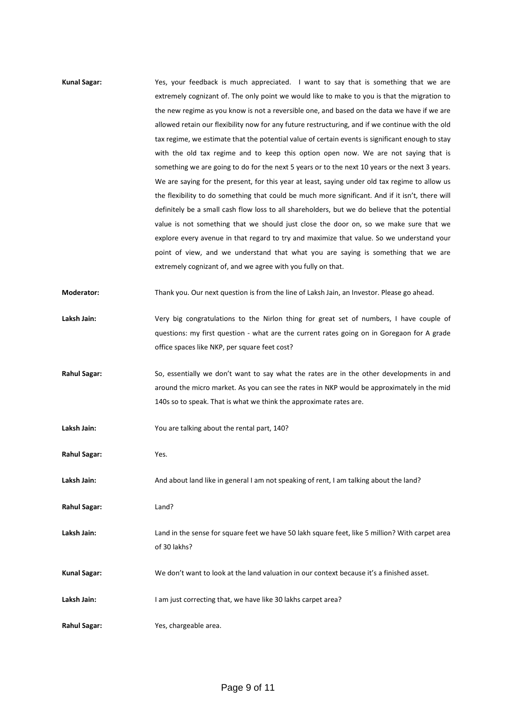| <b>Kunal Sagar:</b> | Yes, your feedback is much appreciated. I want to say that is something that we are              |
|---------------------|--------------------------------------------------------------------------------------------------|
|                     | extremely cognizant of. The only point we would like to make to you is that the migration to     |
|                     | the new regime as you know is not a reversible one, and based on the data we have if we are      |
|                     | allowed retain our flexibility now for any future restructuring, and if we continue with the old |
|                     | tax regime, we estimate that the potential value of certain events is significant enough to stay |
|                     | with the old tax regime and to keep this option open now. We are not saying that is              |
|                     | something we are going to do for the next 5 years or to the next 10 years or the next 3 years.   |
|                     | We are saying for the present, for this year at least, saying under old tax regime to allow us   |
|                     | the flexibility to do something that could be much more significant. And if it isn't, there will |
|                     | definitely be a small cash flow loss to all shareholders, but we do believe that the potential   |
|                     | value is not something that we should just close the door on, so we make sure that we            |
|                     | explore every avenue in that regard to try and maximize that value. So we understand your        |
|                     | point of view, and we understand that what you are saying is something that we are               |
|                     | extremely cognizant of, and we agree with you fully on that.                                     |
| Moderator:          | Thank you. Our next question is from the line of Laksh Jain, an Investor. Please go ahead.       |
| Laksh Jain:         | Very big congratulations to the Nirlon thing for great set of numbers, I have couple of          |
|                     | questions: my first question - what are the current rates going on in Goregaon for A grade       |
|                     | office spaces like NKP, per square feet cost?                                                    |
| <b>Rahul Sagar:</b> | So, essentially we don't want to say what the rates are in the other developments in and         |
|                     | around the micro market. As you can see the rates in NKP would be approximately in the mid       |
|                     | 140s so to speak. That is what we think the approximate rates are.                               |
| Laksh Jain:         | You are talking about the rental part, 140?                                                      |
| <b>Rahul Sagar:</b> | Yes.                                                                                             |
| Laksh Jain:         | And about land like in general I am not speaking of rent, I am talking about the land?           |
| <b>Rahul Sagar:</b> | Land?                                                                                            |
| Laksh Jain:         | Land in the sense for square feet we have 50 lakh square feet, like 5 million? With carpet area  |
|                     | of 30 lakhs?                                                                                     |
| <b>Kunal Sagar:</b> | We don't want to look at the land valuation in our context because it's a finished asset.        |
| Laksh Jain:         | I am just correcting that, we have like 30 lakhs carpet area?                                    |
|                     |                                                                                                  |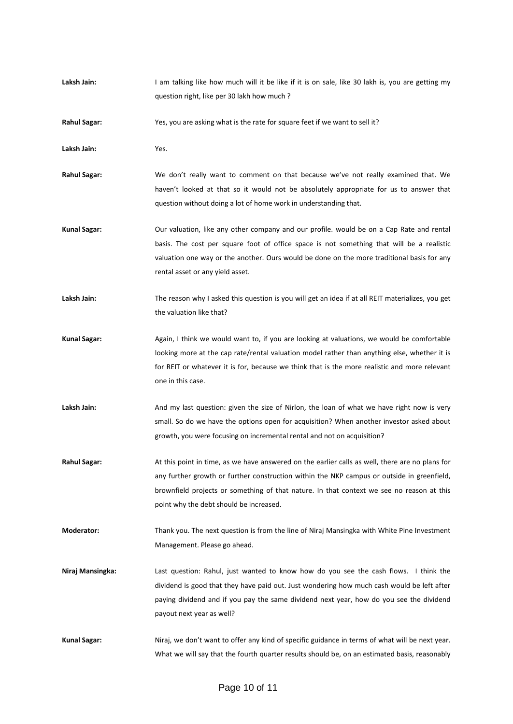**Laksh Jain:** I am talking like how much will it be like if it is on sale, like 30 lakh is, you are getting my question right, like per 30 lakh how much ?

**Rahul Sagar:** Yes, you are asking what is the rate for square feet if we want to sell it?

**Laksh Jain:** Yes.

**Rahul Sagar:** We don't really want to comment on that because we've not really examined that. We haven't looked at that so it would not be absolutely appropriate for us to answer that question without doing a lot of home work in understanding that.

- **Kunal Sagar:** Our valuation, like any other company and our profile. would be on a Cap Rate and rental basis. The cost per square foot of office space is not something that will be a realistic valuation one way or the another. Ours would be done on the more traditional basis for any rental asset or any yield asset.
- Laksh Jain: The reason why I asked this question is you will get an idea if at all REIT materializes, you get the valuation like that?
- **Kunal Sagar:** Again, I think we would want to, if you are looking at valuations, we would be comfortable looking more at the cap rate/rental valuation model rather than anything else, whether it is for REIT or whatever it is for, because we think that is the more realistic and more relevant one in this case.
- Laksh Jain: And my last question: given the size of Nirlon, the loan of what we have right now is very small. So do we have the options open for acquisition? When another investor asked about growth, you were focusing on incremental rental and not on acquisition?
- **Rahul Sagar:** At this point in time, as we have answered on the earlier calls as well, there are no plans for any further growth or further construction within the NKP campus or outside in greenfield, brownfield projects or something of that nature. In that context we see no reason at this point why the debt should be increased.
- **Moderator:** Thank you. The next question is from the line of Niraj Mansingka with White Pine Investment Management. Please go ahead.
- **Niraj Mansingka:** Last question: Rahul, just wanted to know how do you see the cash flows. I think the dividend is good that they have paid out. Just wondering how much cash would be left after paying dividend and if you pay the same dividend next year, how do you see the dividend payout next year as well?
- **Kunal Sagar:** Niraj, we don't want to offer any kind of specific guidance in terms of what will be next year. What we will say that the fourth quarter results should be, on an estimated basis, reasonably